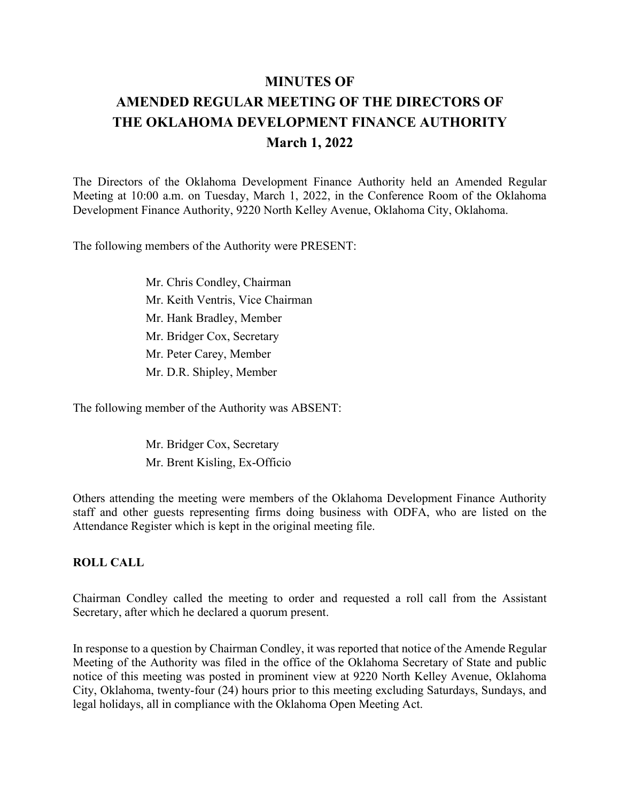# **MINUTES OF AMENDED REGULAR MEETING OF THE DIRECTORS OF THE OKLAHOMA DEVELOPMENT FINANCE AUTHORITY March 1, 2022**

The Directors of the Oklahoma Development Finance Authority held an Amended Regular Meeting at 10:00 a.m. on Tuesday, March 1, 2022, in the Conference Room of the Oklahoma Development Finance Authority, 9220 North Kelley Avenue, Oklahoma City, Oklahoma.

The following members of the Authority were PRESENT:

Mr. Chris Condley, Chairman Mr. Keith Ventris, Vice Chairman Mr. Hank Bradley, Member Mr. Bridger Cox, Secretary Mr. Peter Carey, Member Mr. D.R. Shipley, Member

The following member of the Authority was ABSENT:

Mr. Bridger Cox, Secretary Mr. Brent Kisling, Ex-Officio

Others attending the meeting were members of the Oklahoma Development Finance Authority staff and other guests representing firms doing business with ODFA, who are listed on the Attendance Register which is kept in the original meeting file.

## **ROLL CALL**

Chairman Condley called the meeting to order and requested a roll call from the Assistant Secretary, after which he declared a quorum present.

In response to a question by Chairman Condley, it was reported that notice of the Amende Regular Meeting of the Authority was filed in the office of the Oklahoma Secretary of State and public notice of this meeting was posted in prominent view at 9220 North Kelley Avenue, Oklahoma City, Oklahoma, twenty-four (24) hours prior to this meeting excluding Saturdays, Sundays, and legal holidays, all in compliance with the Oklahoma Open Meeting Act.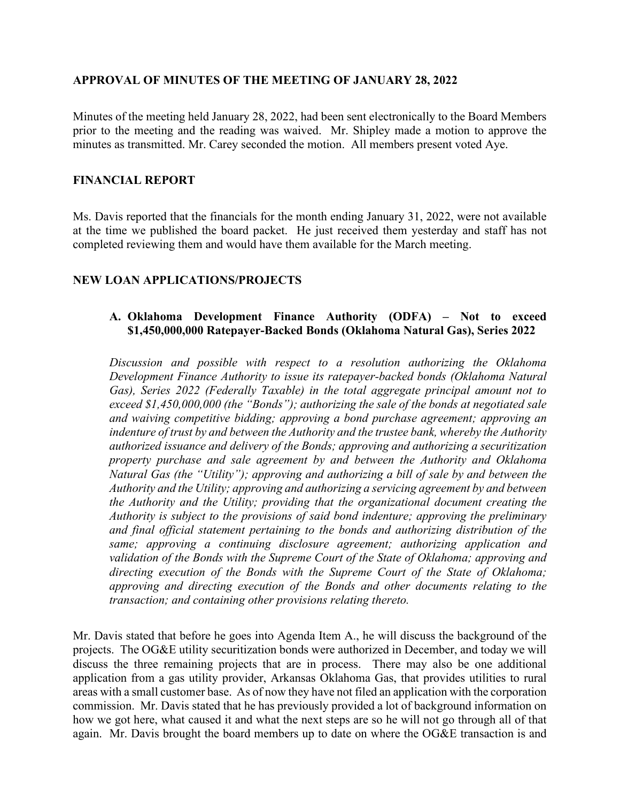# **APPROVAL OF MINUTES OF THE MEETING OF JANUARY 28, 2022**

Minutes of the meeting held January 28, 2022, had been sent electronically to the Board Members prior to the meeting and the reading was waived. Mr. Shipley made a motion to approve the minutes as transmitted. Mr. Carey seconded the motion. All members present voted Aye.

## **FINANCIAL REPORT**

Ms. Davis reported that the financials for the month ending January 31, 2022, were not available at the time we published the board packet. He just received them yesterday and staff has not completed reviewing them and would have them available for the March meeting.

# **NEW LOAN APPLICATIONS/PROJECTS**

# **A. Oklahoma Development Finance Authority (ODFA) – Not to exceed \$1,450,000,000 Ratepayer-Backed Bonds (Oklahoma Natural Gas), Series 2022**

*Discussion and possible with respect to a resolution authorizing the Oklahoma Development Finance Authority to issue its ratepayer-backed bonds (Oklahoma Natural Gas), Series 2022 (Federally Taxable) in the total aggregate principal amount not to exceed \$1,450,000,000 (the "Bonds"); authorizing the sale of the bonds at negotiated sale and waiving competitive bidding; approving a bond purchase agreement; approving an indenture of trust by and between the Authority and the trustee bank, whereby the Authority authorized issuance and delivery of the Bonds; approving and authorizing a securitization property purchase and sale agreement by and between the Authority and Oklahoma Natural Gas (the "Utility"); approving and authorizing a bill of sale by and between the Authority and the Utility; approving and authorizing a servicing agreement by and between the Authority and the Utility; providing that the organizational document creating the Authority is subject to the provisions of said bond indenture; approving the preliminary and final official statement pertaining to the bonds and authorizing distribution of the same; approving a continuing disclosure agreement; authorizing application and validation of the Bonds with the Supreme Court of the State of Oklahoma; approving and directing execution of the Bonds with the Supreme Court of the State of Oklahoma; approving and directing execution of the Bonds and other documents relating to the transaction; and containing other provisions relating thereto.*

Mr. Davis stated that before he goes into Agenda Item A., he will discuss the background of the projects. The OG&E utility securitization bonds were authorized in December, and today we will discuss the three remaining projects that are in process. There may also be one additional application from a gas utility provider, Arkansas Oklahoma Gas, that provides utilities to rural areas with a small customer base. As of now they have not filed an application with the corporation commission. Mr. Davis stated that he has previously provided a lot of background information on how we got here, what caused it and what the next steps are so he will not go through all of that again. Mr. Davis brought the board members up to date on where the OG&E transaction is and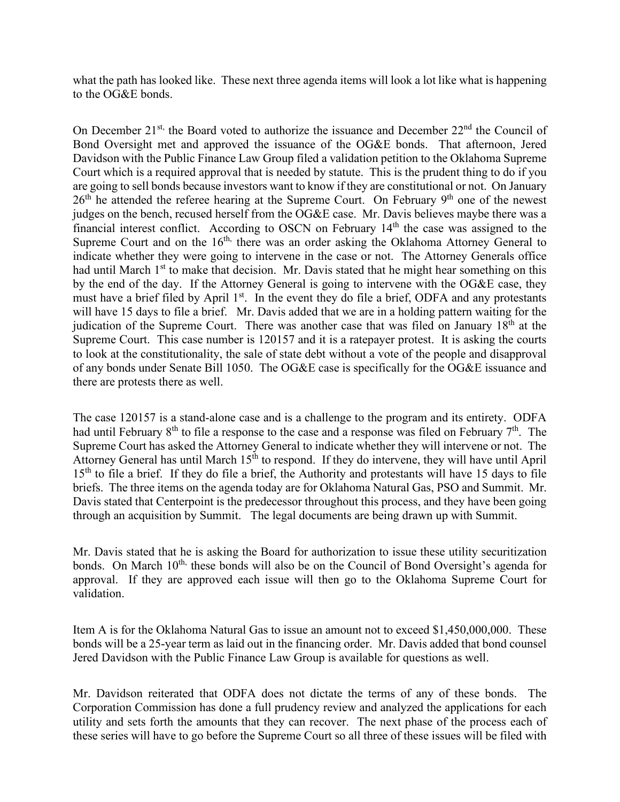what the path has looked like. These next three agenda items will look a lot like what is happening to the OG&E bonds.

On December  $21^{st}$ , the Board voted to authorize the issuance and December  $22^{nd}$  the Council of Bond Oversight met and approved the issuance of the OG&E bonds. That afternoon, Jered Davidson with the Public Finance Law Group filed a validation petition to the Oklahoma Supreme Court which is a required approval that is needed by statute. This is the prudent thing to do if you are going to sell bonds because investors want to know if they are constitutional or not. On January  $26<sup>th</sup>$  he attended the referee hearing at the Supreme Court. On February 9<sup>th</sup> one of the newest judges on the bench, recused herself from the OG&E case. Mr. Davis believes maybe there was a financial interest conflict. According to OSCN on February 14th the case was assigned to the Supreme Court and on the  $16<sup>th</sup>$ , there was an order asking the Oklahoma Attorney General to indicate whether they were going to intervene in the case or not. The Attorney Generals office had until March  $1<sup>st</sup>$  to make that decision. Mr. Davis stated that he might hear something on this by the end of the day. If the Attorney General is going to intervene with the OG&E case, they must have a brief filed by April  $1<sup>st</sup>$ . In the event they do file a brief, ODFA and any protestants will have 15 days to file a brief. Mr. Davis added that we are in a holding pattern waiting for the judication of the Supreme Court. There was another case that was filed on January 18<sup>th</sup> at the Supreme Court. This case number is 120157 and it is a ratepayer protest. It is asking the courts to look at the constitutionality, the sale of state debt without a vote of the people and disapproval of any bonds under Senate Bill 1050. The OG&E case is specifically for the OG&E issuance and there are protests there as well.

The case 120157 is a stand-alone case and is a challenge to the program and its entirety. ODFA had until February  $8<sup>th</sup>$  to file a response to the case and a response was filed on February  $7<sup>th</sup>$ . The Supreme Court has asked the Attorney General to indicate whether they will intervene or not. The Attorney General has until March 15<sup>th</sup> to respond. If they do intervene, they will have until April  $15<sup>th</sup>$  to file a brief. If they do file a brief, the Authority and protestants will have 15 days to file briefs. The three items on the agenda today are for Oklahoma Natural Gas, PSO and Summit. Mr. Davis stated that Centerpoint is the predecessor throughout this process, and they have been going through an acquisition by Summit. The legal documents are being drawn up with Summit.

Mr. Davis stated that he is asking the Board for authorization to issue these utility securitization bonds. On March  $10<sup>th</sup>$ , these bonds will also be on the Council of Bond Oversight's agenda for approval. If they are approved each issue will then go to the Oklahoma Supreme Court for validation.

Item A is for the Oklahoma Natural Gas to issue an amount not to exceed \$1,450,000,000. These bonds will be a 25-year term as laid out in the financing order. Mr. Davis added that bond counsel Jered Davidson with the Public Finance Law Group is available for questions as well.

Mr. Davidson reiterated that ODFA does not dictate the terms of any of these bonds. The Corporation Commission has done a full prudency review and analyzed the applications for each utility and sets forth the amounts that they can recover. The next phase of the process each of these series will have to go before the Supreme Court so all three of these issues will be filed with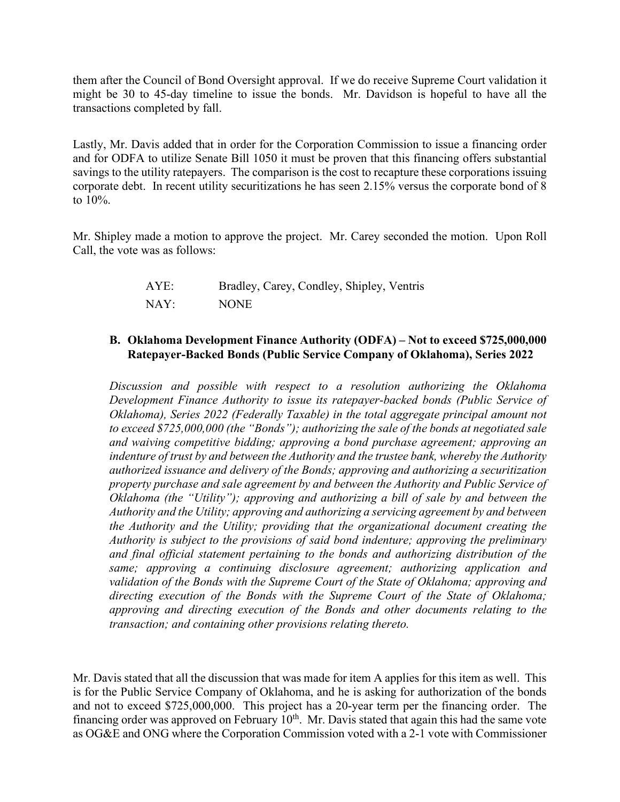them after the Council of Bond Oversight approval. If we do receive Supreme Court validation it might be 30 to 45-day timeline to issue the bonds. Mr. Davidson is hopeful to have all the transactions completed by fall.

Lastly, Mr. Davis added that in order for the Corporation Commission to issue a financing order and for ODFA to utilize Senate Bill 1050 it must be proven that this financing offers substantial savings to the utility ratepayers. The comparison is the cost to recapture these corporations issuing corporate debt. In recent utility securitizations he has seen 2.15% versus the corporate bond of 8 to 10%.

Mr. Shipley made a motion to approve the project. Mr. Carey seconded the motion. Upon Roll Call, the vote was as follows:

| AYE: | Bradley, Carey, Condley, Shipley, Ventris |
|------|-------------------------------------------|
| NAY: | <b>NONE</b>                               |

# **B. Oklahoma Development Finance Authority (ODFA) – Not to exceed \$725,000,000 Ratepayer-Backed Bonds (Public Service Company of Oklahoma), Series 2022**

*Discussion and possible with respect to a resolution authorizing the Oklahoma Development Finance Authority to issue its ratepayer-backed bonds (Public Service of Oklahoma), Series 2022 (Federally Taxable) in the total aggregate principal amount not to exceed \$725,000,000 (the "Bonds"); authorizing the sale of the bonds at negotiated sale and waiving competitive bidding; approving a bond purchase agreement; approving an indenture of trust by and between the Authority and the trustee bank, whereby the Authority authorized issuance and delivery of the Bonds; approving and authorizing a securitization property purchase and sale agreement by and between the Authority and Public Service of Oklahoma (the "Utility"); approving and authorizing a bill of sale by and between the Authority and the Utility; approving and authorizing a servicing agreement by and between the Authority and the Utility; providing that the organizational document creating the Authority is subject to the provisions of said bond indenture; approving the preliminary and final official statement pertaining to the bonds and authorizing distribution of the same; approving a continuing disclosure agreement; authorizing application and validation of the Bonds with the Supreme Court of the State of Oklahoma; approving and directing execution of the Bonds with the Supreme Court of the State of Oklahoma; approving and directing execution of the Bonds and other documents relating to the transaction; and containing other provisions relating thereto.*

Mr. Davis stated that all the discussion that was made for item A applies for this item as well. This is for the Public Service Company of Oklahoma, and he is asking for authorization of the bonds and not to exceed \$725,000,000. This project has a 20-year term per the financing order. The financing order was approved on February  $10<sup>th</sup>$ . Mr. Davis stated that again this had the same vote as OG&E and ONG where the Corporation Commission voted with a 2-1 vote with Commissioner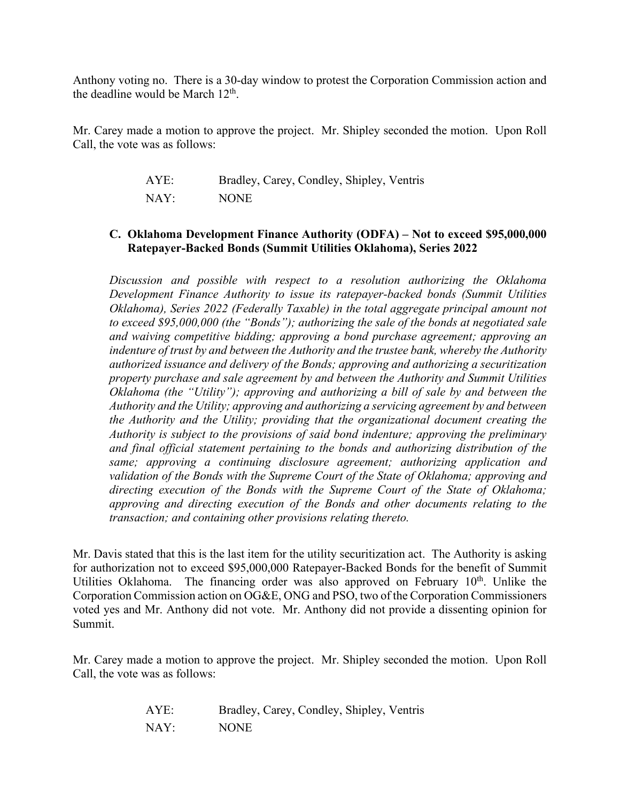Anthony voting no. There is a 30-day window to protest the Corporation Commission action and the deadline would be March  $12<sup>th</sup>$ .

Mr. Carey made a motion to approve the project. Mr. Shipley seconded the motion. Upon Roll Call, the vote was as follows:

| AYE: | Bradley, Carey, Condley, Shipley, Ventris |
|------|-------------------------------------------|
| NAY: | <b>NONE</b>                               |

## **C. Oklahoma Development Finance Authority (ODFA) – Not to exceed \$95,000,000 Ratepayer-Backed Bonds (Summit Utilities Oklahoma), Series 2022**

*Discussion and possible with respect to a resolution authorizing the Oklahoma Development Finance Authority to issue its ratepayer-backed bonds (Summit Utilities Oklahoma), Series 2022 (Federally Taxable) in the total aggregate principal amount not to exceed \$95,000,000 (the "Bonds"); authorizing the sale of the bonds at negotiated sale and waiving competitive bidding; approving a bond purchase agreement; approving an indenture of trust by and between the Authority and the trustee bank, whereby the Authority authorized issuance and delivery of the Bonds; approving and authorizing a securitization property purchase and sale agreement by and between the Authority and Summit Utilities Oklahoma (the "Utility"); approving and authorizing a bill of sale by and between the Authority and the Utility; approving and authorizing a servicing agreement by and between the Authority and the Utility; providing that the organizational document creating the Authority is subject to the provisions of said bond indenture; approving the preliminary and final official statement pertaining to the bonds and authorizing distribution of the same; approving a continuing disclosure agreement; authorizing application and validation of the Bonds with the Supreme Court of the State of Oklahoma; approving and directing execution of the Bonds with the Supreme Court of the State of Oklahoma; approving and directing execution of the Bonds and other documents relating to the transaction; and containing other provisions relating thereto.*

Mr. Davis stated that this is the last item for the utility securitization act. The Authority is asking for authorization not to exceed \$95,000,000 Ratepayer-Backed Bonds for the benefit of Summit Utilities Oklahoma. The financing order was also approved on February  $10<sup>th</sup>$ . Unlike the Corporation Commission action on OG&E, ONG and PSO, two of the Corporation Commissioners voted yes and Mr. Anthony did not vote. Mr. Anthony did not provide a dissenting opinion for Summit.

Mr. Carey made a motion to approve the project. Mr. Shipley seconded the motion. Upon Roll Call, the vote was as follows:

| AYE: | Bradley, Carey, Condley, Shipley, Ventris |
|------|-------------------------------------------|
| NAY: | NONE.                                     |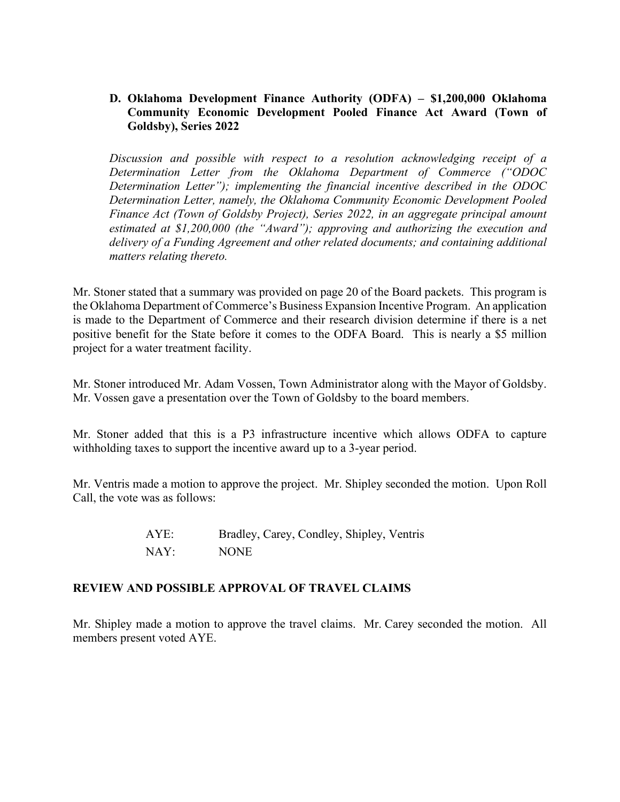# **D. Oklahoma Development Finance Authority (ODFA) – \$1,200,000 Oklahoma Community Economic Development Pooled Finance Act Award (Town of Goldsby), Series 2022**

*Discussion and possible with respect to a resolution acknowledging receipt of a Determination Letter from the Oklahoma Department of Commerce ("ODOC Determination Letter"); implementing the financial incentive described in the ODOC Determination Letter, namely, the Oklahoma Community Economic Development Pooled Finance Act (Town of Goldsby Project), Series 2022, in an aggregate principal amount estimated at \$1,200,000 (the "Award"); approving and authorizing the execution and delivery of a Funding Agreement and other related documents; and containing additional matters relating thereto.*

Mr. Stoner stated that a summary was provided on page 20 of the Board packets. This program is the Oklahoma Department of Commerce's Business Expansion Incentive Program. An application is made to the Department of Commerce and their research division determine if there is a net positive benefit for the State before it comes to the ODFA Board. This is nearly a \$5 million project for a water treatment facility.

Mr. Stoner introduced Mr. Adam Vossen, Town Administrator along with the Mayor of Goldsby. Mr. Vossen gave a presentation over the Town of Goldsby to the board members.

Mr. Stoner added that this is a P3 infrastructure incentive which allows ODFA to capture withholding taxes to support the incentive award up to a 3-year period.

Mr. Ventris made a motion to approve the project. Mr. Shipley seconded the motion. Upon Roll Call, the vote was as follows:

> AYE: Bradley, Carey, Condley, Shipley, Ventris NAY: NONE

## **REVIEW AND POSSIBLE APPROVAL OF TRAVEL CLAIMS**

Mr. Shipley made a motion to approve the travel claims. Mr. Carey seconded the motion. All members present voted AYE.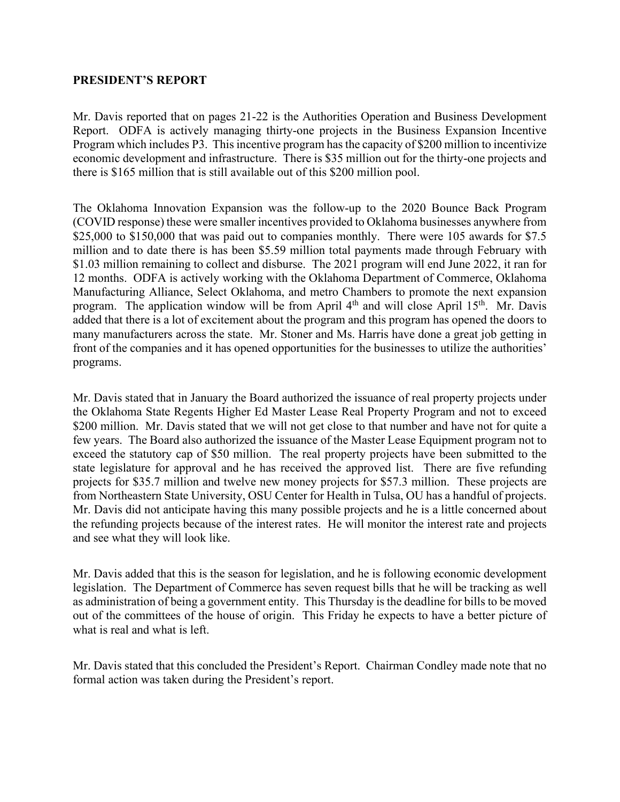#### **PRESIDENT'S REPORT**

Mr. Davis reported that on pages 21-22 is the Authorities Operation and Business Development Report. ODFA is actively managing thirty-one projects in the Business Expansion Incentive Program which includes P3. This incentive program has the capacity of \$200 million to incentivize economic development and infrastructure. There is \$35 million out for the thirty-one projects and there is \$165 million that is still available out of this \$200 million pool.

The Oklahoma Innovation Expansion was the follow-up to the 2020 Bounce Back Program (COVID response) these were smaller incentives provided to Oklahoma businesses anywhere from \$25,000 to \$150,000 that was paid out to companies monthly. There were 105 awards for \$7.5 million and to date there is has been \$5.59 million total payments made through February with \$1.03 million remaining to collect and disburse. The 2021 program will end June 2022, it ran for 12 months. ODFA is actively working with the Oklahoma Department of Commerce, Oklahoma Manufacturing Alliance, Select Oklahoma, and metro Chambers to promote the next expansion program. The application window will be from April 4<sup>th</sup> and will close April 15<sup>th</sup>. Mr. Davis added that there is a lot of excitement about the program and this program has opened the doors to many manufacturers across the state. Mr. Stoner and Ms. Harris have done a great job getting in front of the companies and it has opened opportunities for the businesses to utilize the authorities' programs.

Mr. Davis stated that in January the Board authorized the issuance of real property projects under the Oklahoma State Regents Higher Ed Master Lease Real Property Program and not to exceed \$200 million. Mr. Davis stated that we will not get close to that number and have not for quite a few years. The Board also authorized the issuance of the Master Lease Equipment program not to exceed the statutory cap of \$50 million. The real property projects have been submitted to the state legislature for approval and he has received the approved list. There are five refunding projects for \$35.7 million and twelve new money projects for \$57.3 million. These projects are from Northeastern State University, OSU Center for Health in Tulsa, OU has a handful of projects. Mr. Davis did not anticipate having this many possible projects and he is a little concerned about the refunding projects because of the interest rates. He will monitor the interest rate and projects and see what they will look like.

Mr. Davis added that this is the season for legislation, and he is following economic development legislation. The Department of Commerce has seven request bills that he will be tracking as well as administration of being a government entity. This Thursday is the deadline for bills to be moved out of the committees of the house of origin. This Friday he expects to have a better picture of what is real and what is left.

Mr. Davis stated that this concluded the President's Report. Chairman Condley made note that no formal action was taken during the President's report.